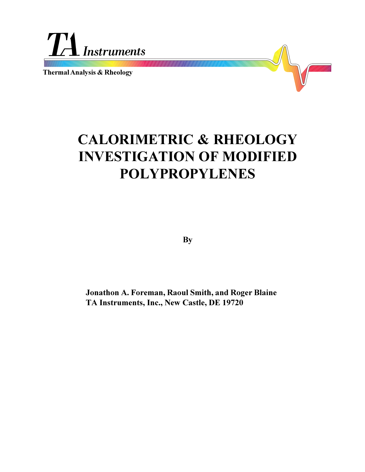

**Thermal Analysis & Rheology**



**By**

**Jonathon A. Foreman, Raoul Smith, and Roger Blaine TA Instruments, Inc., New Castle, DE 19720**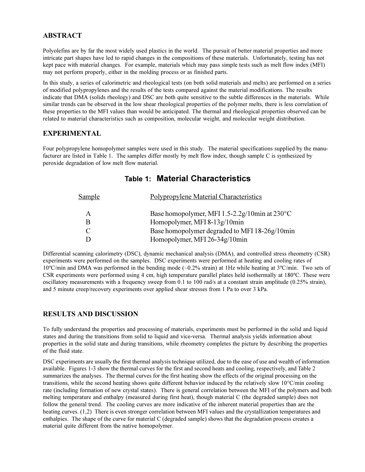## **ABSTRACT**

Polyolefins are by far the most widely used plastics in the world. The pursuit of better material properties and more intricate part shapes have led to rapid changes in the compositions of these materials. Unfortunately, testing has not kept pace with material changes. For example, materials which may pass simple tests such as melt flow index (MFI) may not perform properly, either in the molding process or as finished parts.

In this study, a series of calorimetric and rheological tests (on both solid materials and melts) are performed on a series of modified polypropylenes and the results of the tests compared against the material modifications. The results indicate that DMA (solids rheology) and DSC are both quite sensitive to the subtle differences in the materials. While similar trends can be observed in the low shear rheological properties of the polymer melts, there is less correlation of these properties to the MFI values than would be anticipated. The thermal and rheological properties observed can be related to material characteristics such as composition, molecular weight, and molecular weight distribution.

### **EXPERIMENTAL**

Four polypropylene homopolymer samples were used in this study. The material specifications supplied by the manufacturer are listed in Table 1. The samples differ mostly by melt flow index, though sample C is synthesized by peroxide degradation of low melt flow material.

| <b>Sample</b> | Polypropylene Material Characteristics                  |
|---------------|---------------------------------------------------------|
| A             | Base homopolymer, MFI 1.5-2.2g/10min at $230^{\circ}$ C |
|               | Homopolymer, MFI 8-13g/10min                            |
| C             | Base homopolymer degraded to MFI 18-26g/10min           |
|               | Homopolymer, MFI 26-34g/10min                           |

# **Table 1: Material Characteristics**

Differential scanning calorimetry (DSC), dynamic mechanical analysis (DMA), and controlled stress rheometry (CSR) experiments were performed on the samples. DSC experiments were performed at heating and cooling rates of 10ºC/min and DMA was performed in the bending mode (~0.2% strain) at 1Hz while heating at 3ºC/min. Two sets of CSR experiments were performed using 4 cm, high temperature parallel plates held isothermally at 180ºC. These were oscillatory measurements with a frequency sweep from 0.1 to 100 rad/s at a constant strain amplitude (0.25% strain), and 5 minute creep/recovery experiments over applied shear stresses from 1 Pa to over 3 kPa.

### **RESULTS AND DISCUSSION**

To fully understand the properties and processing of materials, experiments must be performed in the solid and liquid states and during the transitions from solid to liquid and vice-versa. Thermal analysis yields information about properties in the solid state and during transitions, while rheometry completes the picture by describing the properties of the fluid state.

DSC experiments are usually the first thermal analysis technique utilized, due to the ease of use and wealth of information available. Figures 1-3 show the thermal curves for the first and second heats and cooling, respectively, and Table 2 summarizes the analyses. The thermal curves for the first heating show the effects of the original processing on the transitions, while the second heating shows quite different behavior induced by the relatively slow 10°C/min cooling rate (including formation of new crystal states). There is general correlation between the MFI of the polymers and both melting temperature and enthalpy (measured during first heat), though material C (the degraded sample) does not follow the general trend. The cooling curves are more indicative of the inherent material properties than are the heating curves. (1,2) There is even stronger correlation between MFI values and the crystallization temperatures and enthalpies. The shape of the curve for material C (degraded sample) shows that the degradation process creates a material quite different from the native homopolymer.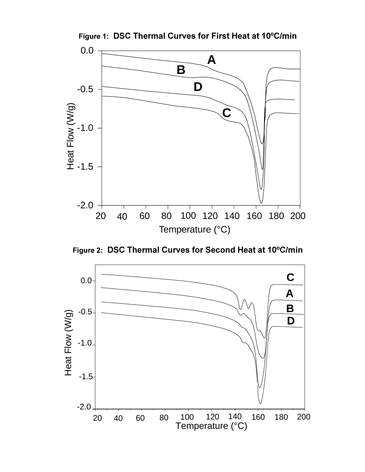

**Figure 1: DSC Thermal Curves for First Heat at 10ºC/min**

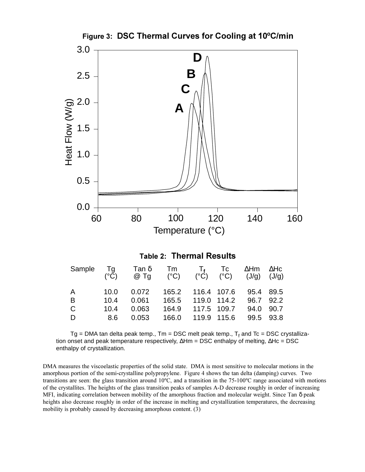

Tg = DMA tan delta peak temp., Tm = DSC melt peak temp.,  $\mathsf{T}_\mathsf{f}$  and Tc = DSC crystallization onset and peak temperature respectively, ∆Hm = DSC enthalpy of melting, ∆Hc = DSC

DMA measures the viscoelastic properties of the solid state. DMA is most sensitive to molecular motions in the amorphous portion of the semi-crystalline polypropylene. Figure 4 shows the tan delta (damping) curves. Two transitions are seen: the glass transition around 10ºC, and a transition in the 75-100ºC range associated with motions of the crystallites. The heights of the glass transition peaks of samples A-D decrease roughly in order of increasing MFI, indicating correlation between mobility of the amorphous fraction and molecular weight. Since Tan δ peak heights also decrease roughly in order of the increase in melting and crystallization temperatures, the decreasing mobility is probably caused by decreasing amorphous content. (3)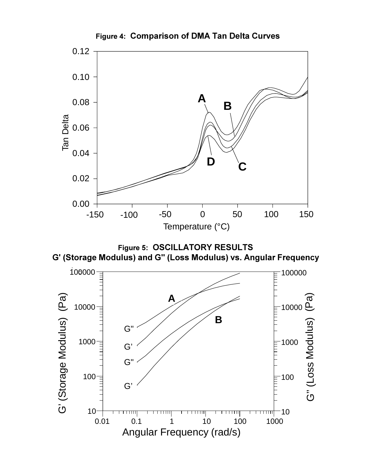

**Figure 4: Comparison of DMA Tan Delta Curves**



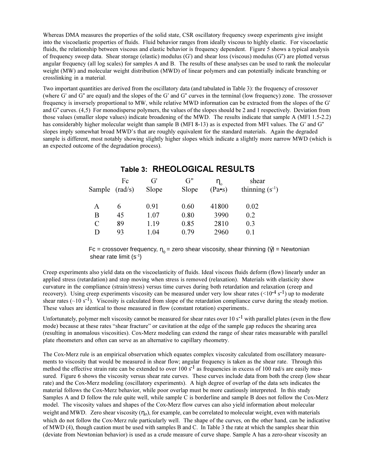Whereas DMA measures the properties of the solid state, CSR oscillatory frequency sweep experiments give insight into the viscoelastic properties of fluids. Fluid behavior ranges from ideally viscous to highly elastic. For viscoelastic fluids, the relationship between viscous and elastic behavior is frequency dependent. Figure 5 shows a typical analysis of frequency sweep data. Shear storage (elastic) modulus (G') and shear loss (viscous) modulus (G") are plotted versus angular frequency (all log scales) for samples A and B. The results of these analyses can be used to rank the molecular weight (MW) and molecular weight distribution (MWD) of linear polymers and can potentially indicate branching or crosslinking in a material.

Two important quantities are derived from the oscillatory data (and tabulated in Table 3): the frequency of crossover (where G' and G" are equal) and the slopes of the G' and G" curves in the terminal (low frequency) zone. The crossover frequency is inversely proportional to MW, while relative MWD information can be extracted from the slopes of the G' and G" curves. (4,5) For monodisperse polymers, the values of the slopes should be 2 and 1 respectively. Deviation from those values (smaller slope values) indicate broadening of the MWD. The results indicate that sample A (MFI 1.5-2.2) has considerably higher molecular weight than sample B (MFI 8-13) as is expected from MFI values. The G' and G" slopes imply somewhat broad MWD's that are roughly equivalent for the standard materials. Again the degraded sample is different, most notably showing slightly higher slopes which indicate a slightly more narrow MWD (which is an expected outcome of the degradation process).

| Sample $(rad/s)$ | Fc | G<br>Slope | G"<br>Slope | $\eta_{\scriptscriptstyle \alpha}$<br>$(Pa \bullet s)$ | shear<br>thinning $(s^{-1})$ |
|------------------|----|------------|-------------|--------------------------------------------------------|------------------------------|
| A                | 6  | 0.91       | 0.60        | 41800                                                  | 0.02                         |
| В                | 45 | 1.07       | 0.80        | 3990                                                   | 0.2                          |
| C                | 89 | 1.19       | 0.85        | 2810                                                   | 0.3                          |
| I)               | 93 | 1.04       | 0.79        | 2960                                                   | 0.1                          |

# **Table 3: RHEOLOGICAL RESULTS**

Fc = crossover frequency,  $η<sub>o</sub> =$  zero shear viscosity, shear thinning ( $\dot{\gamma}$ ) = Newtonian shear rate limit (s-1)

Creep experiments also yield data on the viscoelasticity of fluids. Ideal viscous fluids deform (flow) linearly under an applied stress (retardation) and stop moving when stress is removed (relaxation). Materials with elasticity show curvature in the compliance (strain/stress) versus time curves during both retardation and relaxation (creep and recovery). Using creep experiments viscosity can be measured under very low shear rates ( $\leq 10^{-4}$  s<sup>-1</sup>) up to moderate shear rates  $(-10 \text{ s}^{-1})$ . Viscosity is calculated from slope of the retardation compliance curve during the steady motion. These values are identical to those measured in flow (constant rotation) experiments..

Unfortunately, polymer melt viscosity cannot be measured for shear rates over  $10 s<sup>-1</sup>$  with parallel plates (even in the flow mode) because at these rates "shear fracture" or cavitation at the edge of the sample gap reduces the shearing area (resulting in anomalous viscosities). Cox-Merz modeling can extend the range of shear rates measurable with parallel plate rheometers and often can serve as an alternative to capillary rheometry.

The Cox-Merz rule is an empirical observation which equates complex viscosity calculated from oscillatory measurements to viscosity that would be measured in shear flow; angular frequency is taken as the shear rate. Through this method the effective strain rate can be extended to over 100 s<sup>-1</sup> as frequencies in excess of 100 rad/s are easily measured. Figure 6 shows the viscosity versus shear rate curves. These curves include data from both the creep (low shear rate) and the Cox-Merz modeling (oscillatory experiments). A high degree of overlap of the data sets indicates the material follows the Cox-Merz behavior, while poor overlap must be more cautiously interpreted. In this study Samples A and D follow the rule quite well, while sample C is borderline and sample B does not follow the Cox-Merz model. The viscosity values and shapes of the Cox-Merz flow curves can also yield information about molecular weight and MWD. Zero shear viscosity  $(\eta_0)$ , for example, can be correlated to molecular weight, even with materials which do not follow the Cox-Merz rule particularly well. The shape of the curves, on the other hand, can be indicative of MWD (4), though caution must be used with samples B and C. In Table 3 the rate at which the samples shear thin (deviate from Newtonian behavior) is used as a crude measure of curve shape. Sample A has a zero-shear viscosity an